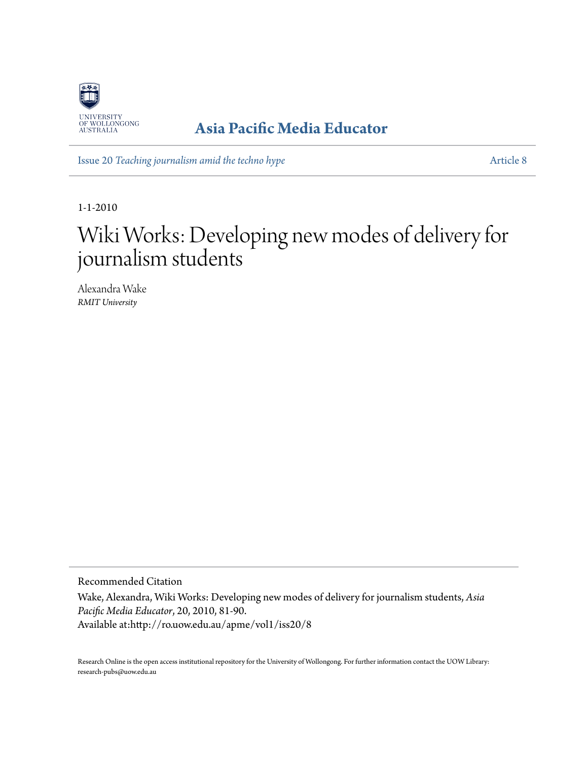

### **[Asia Pacific Media Educator](http://ro.uow.edu.au/apme)**

Issue 20 *[Teaching journalism amid the techno hype](http://ro.uow.edu.au/apme/vol1/iss20)* [Article 8](http://ro.uow.edu.au/apme/vol1/iss20/8)

1-1-2010

# Wiki Works: Developing new modes of delivery for journalism students

Alexandra Wake *RMIT University*

Recommended Citation Wake, Alexandra, Wiki Works: Developing new modes of delivery for journalism students, *Asia Pacific Media Educator*, 20, 2010, 81-90. Available at:http://ro.uow.edu.au/apme/vol1/iss20/8

Research Online is the open access institutional repository for the University of Wollongong. For further information contact the UOW Library: research-pubs@uow.edu.au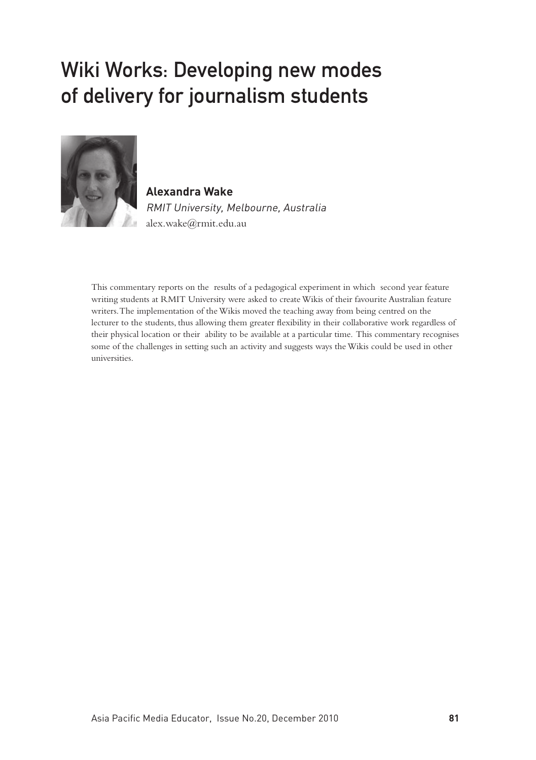## Wiki Works: Developing new modes of delivery for journalism students



**Alexandra Wake** RMIT University, Melbourne, Australia alex.wake@rmit.edu.au

This commentary reports on the results of a pedagogical experiment in which second year feature writing students at RMIT University were asked to create Wikis of their favourite Australian feature writers. The implementation of the Wikis moved the teaching away from being centred on the lecturer to the students, thus allowing them greater flexibility in their collaborative work regardless of their physical location or their ability to be available at a particular time. This commentary recognises some of the challenges in setting such an activity and suggests ways the Wikis could be used in other universities.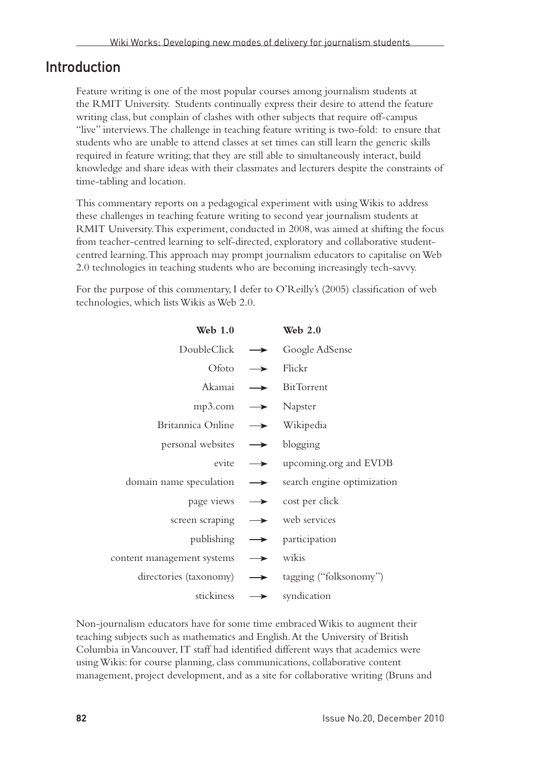#### Introduction

Feature writing is one of the most popular courses among journalism students at the RMIT University. Students continually express their desire to attend the feature writing class, but complain of clashes with other subjects that require off-campus "live" interviews. The challenge in teaching feature writing is two-fold: to ensure that students who are unable to attend classes at set times can still learn the generic skills required in feature writing; that they are still able to simultaneously interact, build knowledge and share ideas with their classmates and lecturers despite the constraints of time-tabling and location.

This commentary reports on a pedagogical experiment with using Wikis to address these challenges in teaching feature writing to second year journalism students at RMIT University. This experiment, conducted in 2008, was aimed at shifting the focus from teacher-centred learning to self-directed, exploratory and collaborative studentcentred learning. This approach may prompt journalism educators to capitalise on Web 2.0 technologies in teaching students who are becoming increasingly tech-savvy.

For the purpose of this commentary, I defer to O'Reilly's (2005) classification of web technologies, which lists Wikis as Web 2.0.

| Web $1.0$                     |               | Web $2.0$                               |
|-------------------------------|---------------|-----------------------------------------|
| DoubleClick                   |               | $\rightarrow$ Google AdSense            |
| Ofoto                         |               | $\rightarrow$ Flickr                    |
| Akamai                        |               | $\rightarrow$ BitTorrent                |
| $mp3.com \rightarrow Napster$ |               |                                         |
| Britannica Online             |               | $\rightarrow$ Wikipedia                 |
| personal websites             | $\rightarrow$ | blogging                                |
| evite                         |               | $\rightarrow$ upcoming.org and EVDB     |
| domain name speculation       | $\rightarrow$ | search engine optimization              |
|                               |               | page views $\rightarrow$ cost per click |
| screen scraping               |               | $\rightarrow$ web services              |
|                               |               | publishing $\rightarrow$ participation  |
| content management systems    | $\rightarrow$ | wikis                                   |
| directories (taxonomy)        |               | → tagging ("folksonomy")                |
| stickiness                    | $\rightarrow$ | syndication                             |

Non-journalism educators have for some time embraced Wikis to augment their teaching subjects such as mathematics and English. At the University of British Columbia in Vancouver, IT staff had identified different ways that academics were using Wikis: for course planning, class communications, collaborative content management, project development, and as a site for collaborative writing (Bruns and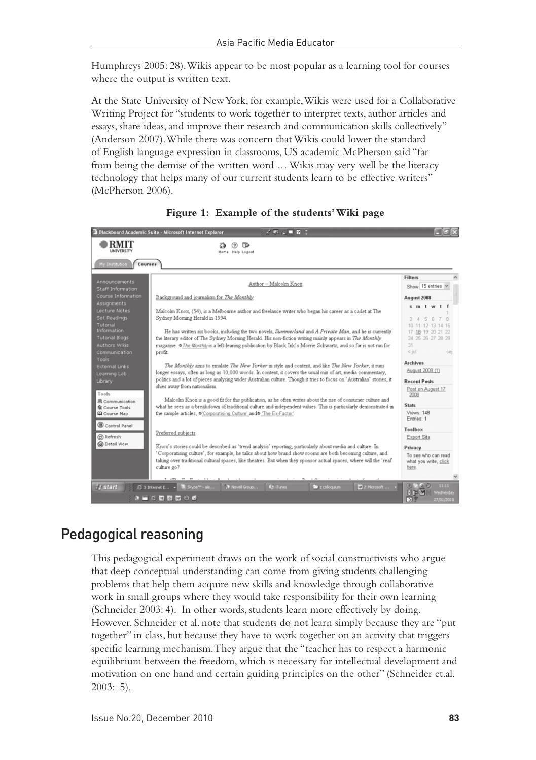Humphreys 2005: 28). Wikis appear to be most popular as a learning tool for courses where the output is written text.

At the State University of New York, for example, Wikis were used for a Collaborative Writing Project for "students to work together to interpret texts, author articles and essays, share ideas, and improve their research and communication skills collectively" (Anderson 2007). While there was concern that Wikis could lower the standard of English language expression in classrooms, US academic McPherson said "far from being the demise of the written word … Wikis may very well be the literacy technology that helps many of our current students learn to be effective writers" (McPherson 2006).

|                                                                                                                                                                                                                                                                                                                                                   | Blackboard Academic Suite - Microsoft Internet Explorer<br>20.402                                                                                                                                                                                                                                                                                                                                                                                                                                                                                                                                                                                                                                                                                                                                                                                                                                                                                                                                                                                                                                                                                                   |                                                                                                                                                                                                                      |
|---------------------------------------------------------------------------------------------------------------------------------------------------------------------------------------------------------------------------------------------------------------------------------------------------------------------------------------------------|---------------------------------------------------------------------------------------------------------------------------------------------------------------------------------------------------------------------------------------------------------------------------------------------------------------------------------------------------------------------------------------------------------------------------------------------------------------------------------------------------------------------------------------------------------------------------------------------------------------------------------------------------------------------------------------------------------------------------------------------------------------------------------------------------------------------------------------------------------------------------------------------------------------------------------------------------------------------------------------------------------------------------------------------------------------------------------------------------------------------------------------------------------------------|----------------------------------------------------------------------------------------------------------------------------------------------------------------------------------------------------------------------|
| RMIT<br><b>UNIVERSITY</b>                                                                                                                                                                                                                                                                                                                         | œ<br>$\circled{?}$<br>Home Help Logout                                                                                                                                                                                                                                                                                                                                                                                                                                                                                                                                                                                                                                                                                                                                                                                                                                                                                                                                                                                                                                                                                                                              |                                                                                                                                                                                                                      |
| My Institution<br>Courses                                                                                                                                                                                                                                                                                                                         |                                                                                                                                                                                                                                                                                                                                                                                                                                                                                                                                                                                                                                                                                                                                                                                                                                                                                                                                                                                                                                                                                                                                                                     |                                                                                                                                                                                                                      |
| Announcements<br>Staff Information                                                                                                                                                                                                                                                                                                                | Author - Malcolm Knox                                                                                                                                                                                                                                                                                                                                                                                                                                                                                                                                                                                                                                                                                                                                                                                                                                                                                                                                                                                                                                                                                                                                               | <b>Filters</b><br>Show 15 entries v                                                                                                                                                                                  |
| Course Information                                                                                                                                                                                                                                                                                                                                | Background and journalism for The Monthly                                                                                                                                                                                                                                                                                                                                                                                                                                                                                                                                                                                                                                                                                                                                                                                                                                                                                                                                                                                                                                                                                                                           | August 2008                                                                                                                                                                                                          |
| <b>Assignments</b><br>Lecture Notes<br>Set Readings<br>Tutorial<br><b>Information</b><br><b>Tutorial Blogs</b><br><b>Authors Wikis</b><br>Communication<br>profit.<br><b>Tools</b><br><b>External Links</b><br>Learning Lab<br>Library<br>Tools<br>風 Communication<br><b>ff</b> Course Tools<br><b>Q</b> Course Map<br>Control Panel<br>C Refresh | Malcolm Knox. (54), is a Melbourne author and freelance writer who began his career as a cadet at The<br>Sydney Morning Herald in 1994.<br>He has written six books, including the two novels, Summerland and A Private Man, and he is currently<br>the literary editor of The Sydney Morning Herald. His non-fiction writing mainly appears in The Monthly<br>magazine. @The Monthly is a left-leaning publication by Black Ink's Morrie Schwartz, and so far is not run for<br>The Monthly aims to emulate The New Yorker in style and content, and like The New Yorker, it runs<br>longer essays, often as long as 10,000 words. In content, it covers the usual mix of art, media commentary,<br>politics and a lot of pieces analysing wider Australian culture. Though it tries to focus on 'Australian' stories, it<br>shies away from nationalism.<br>Malcolm Knox is a good fit for this publication, as he often writes about the rise of consumer culture and<br>what he sees as a breakdown of traditional culture and independent values. This is particularly demonstrated in<br>the sample articles, O'Corporatising Culture' and O 'The Ex-Factor', | sm tw t<br>R<br>17 18 19 20 21 22<br>24 25 26 27 28 29<br>31<br>$<$ jul<br>sep<br><b>Archives</b><br>August 2008 (1)<br><b>Recent Posts</b><br>Post on August 17<br>2008<br><b>Stats</b><br>Views: 148<br>Entries: 1 |
|                                                                                                                                                                                                                                                                                                                                                   | Preferred subjects                                                                                                                                                                                                                                                                                                                                                                                                                                                                                                                                                                                                                                                                                                                                                                                                                                                                                                                                                                                                                                                                                                                                                  | Toolbox<br>Export Site                                                                                                                                                                                               |
| <b>D</b> Detail View                                                                                                                                                                                                                                                                                                                              | Knox's stories could be described as 'trend analysis' reporting, particularly about media and culture. In                                                                                                                                                                                                                                                                                                                                                                                                                                                                                                                                                                                                                                                                                                                                                                                                                                                                                                                                                                                                                                                           | Privacy                                                                                                                                                                                                              |
|                                                                                                                                                                                                                                                                                                                                                   | 'Corporatising culture', for example, he talks about how brand show rooms are both becoming culture, and<br>taking over traditional cultural spaces, like theatres. But when they sponsor actual spaces, where will the 'real'<br>culture go?                                                                                                                                                                                                                                                                                                                                                                                                                                                                                                                                                                                                                                                                                                                                                                                                                                                                                                                       | To see who can read<br>what you write, click<br>here.                                                                                                                                                                |
|                                                                                                                                                                                                                                                                                                                                                   |                                                                                                                                                                                                                                                                                                                                                                                                                                                                                                                                                                                                                                                                                                                                                                                                                                                                                                                                                                                                                                                                                                                                                                     |                                                                                                                                                                                                                      |
| <b><i>istart</i></b>                                                                                                                                                                                                                                                                                                                              | Skype <sup>n</sup> - ale<br>Novel Group<br><b>62 iTunes</b><br><b>E</b> 3 Internet E<br><b>Execution</b><br>EV 2 Microsoft.<br>きゅう 四回 図 のの                                                                                                                                                                                                                                                                                                                                                                                                                                                                                                                                                                                                                                                                                                                                                                                                                                                                                                                                                                                                                          | 11:11<br>(619)<br>Vednesdav<br>ञ<br>27/01/2010                                                                                                                                                                       |



#### Pedagogical reasoning

This pedagogical experiment draws on the work of social constructivists who argue that deep conceptual understanding can come from giving students challenging problems that help them acquire new skills and knowledge through collaborative work in small groups where they would take responsibility for their own learning (Schneider 2003: 4). In other words, students learn more effectively by doing. However, Schneider et al. note that students do not learn simply because they are "put together" in class, but because they have to work together on an activity that triggers specific learning mechanism. They argue that the "teacher has to respect a harmonic equilibrium between the freedom, which is necessary for intellectual development and motivation on one hand and certain guiding principles on the other" (Schneider et.al. 2003: 5).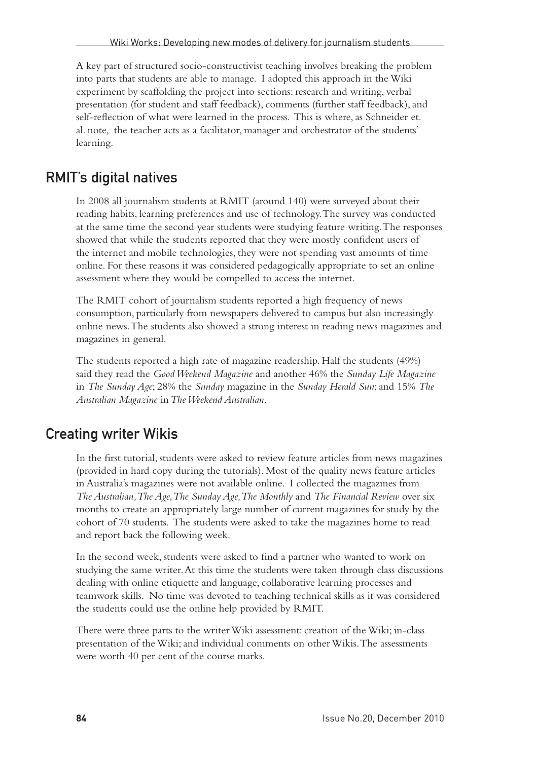A key part of structured socio-constructivist teaching involves breaking the problem into parts that students are able to manage. I adopted this approach in the Wiki experiment by scaffolding the project into sections: research and writing, verbal presentation (for student and staff feedback), comments (further staff feedback), and self-reflection of what were learned in the process. This is where, as Schneider et. al. note, the teacher acts as a facilitator, manager and orchestrator of the students' learning.

#### RMIT's digital natives

In 2008 all journalism students at RMIT (around 140) were surveyed about their reading habits, learning preferences and use of technology. The survey was conducted at the same time the second year students were studying feature writing. The responses showed that while the students reported that they were mostly confident users of the internet and mobile technologies, they were not spending vast amounts of time online. For these reasons it was considered pedagogically appropriate to set an online assessment where they would be compelled to access the internet.

The RMIT cohort of journalism students reported a high frequency of news consumption, particularly from newspapers delivered to campus but also increasingly online news. The students also showed a strong interest in reading news magazines and magazines in general.

The students reported a high rate of magazine readership. Half the students (49%) said they read the *Good Weekend Magazine* and another 46% the *Sunday Life Magazine* in *The Sunday Age*; 28% the *Sunday* magazine in the *Sunday Herald Sun*; and 15% *The Australian Magazine* in *The Weekend Australian.* 

#### Creating writer Wikis

In the first tutorial, students were asked to review feature articles from news magazines (provided in hard copy during the tutorials). Most of the quality news feature articles in Australia's magazines were not available online. I collected the magazines from *The Australian, The Age, The Sunday Age, The Monthly* and *The Financial Review* over six months to create an appropriately large number of current magazines for study by the cohort of 70 students. The students were asked to take the magazines home to read and report back the following week.

In the second week, students were asked to find a partner who wanted to work on studying the same writer. At this time the students were taken through class discussions dealing with online etiquette and language, collaborative learning processes and teamwork skills. No time was devoted to teaching technical skills as it was considered the students could use the online help provided by RMIT.

There were three parts to the writer Wiki assessment: creation of the Wiki; in-class presentation of the Wiki; and individual comments on other Wikis. The assessments were worth 40 per cent of the course marks.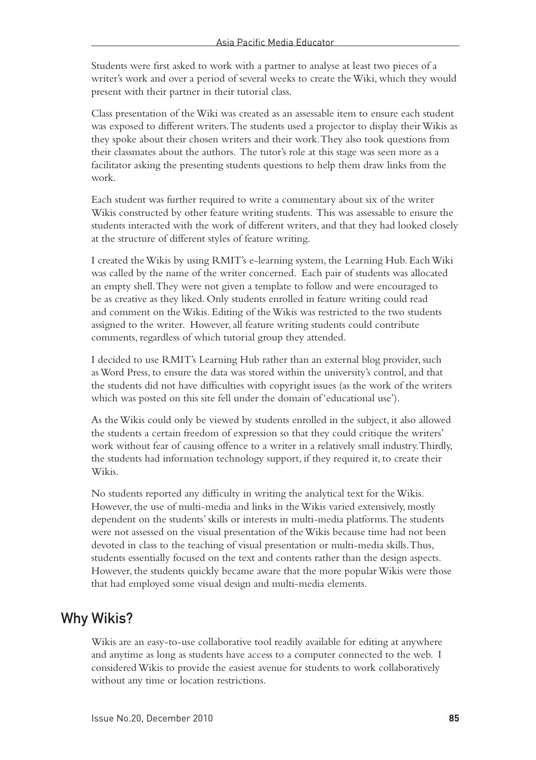Students were first asked to work with a partner to analyse at least two pieces of a writer's work and over a period of several weeks to create the Wiki, which they would present with their partner in their tutorial class.

Class presentation of the Wiki was created as an assessable item to ensure each student was exposed to different writers. The students used a projector to display their Wikis as they spoke about their chosen writers and their work. They also took questions from their classmates about the authors. The tutor's role at this stage was seen more as a facilitator asking the presenting students questions to help them draw links from the work.

Each student was further required to write a commentary about six of the writer Wikis constructed by other feature writing students. This was assessable to ensure the students interacted with the work of different writers, and that they had looked closely at the structure of different styles of feature writing.

I created the Wikis by using RMIT's e-learning system, the Learning Hub. Each Wiki was called by the name of the writer concerned. Each pair of students was allocated an empty shell. They were not given a template to follow and were encouraged to be as creative as they liked. Only students enrolled in feature writing could read and comment on the Wikis. Editing of the Wikis was restricted to the two students assigned to the writer. However, all feature writing students could contribute comments, regardless of which tutorial group they attended.

I decided to use RMIT's Learning Hub rather than an external blog provider, such as Word Press, to ensure the data was stored within the university's control, and that the students did not have difficulties with copyright issues (as the work of the writers which was posted on this site fell under the domain of 'educational use').

As the Wikis could only be viewed by students enrolled in the subject, it also allowed the students a certain freedom of expression so that they could critique the writers' work without fear of causing offence to a writer in a relatively small industry. Thirdly, the students had information technology support, if they required it, to create their Wikis.

No students reported any difficulty in writing the analytical text for the Wikis. However, the use of multi-media and links in the Wikis varied extensively, mostly dependent on the students' skills or interests in multi-media platforms. The students were not assessed on the visual presentation of the Wikis because time had not been devoted in class to the teaching of visual presentation or multi-media skills. Thus, students essentially focused on the text and contents rather than the design aspects. However, the students quickly became aware that the more popular Wikis were those that had employed some visual design and multi-media elements.

#### Why Wikis?

Wikis are an easy-to-use collaborative tool readily available for editing at anywhere and anytime as long as students have access to a computer connected to the web. I considered Wikis to provide the easiest avenue for students to work collaboratively without any time or location restrictions.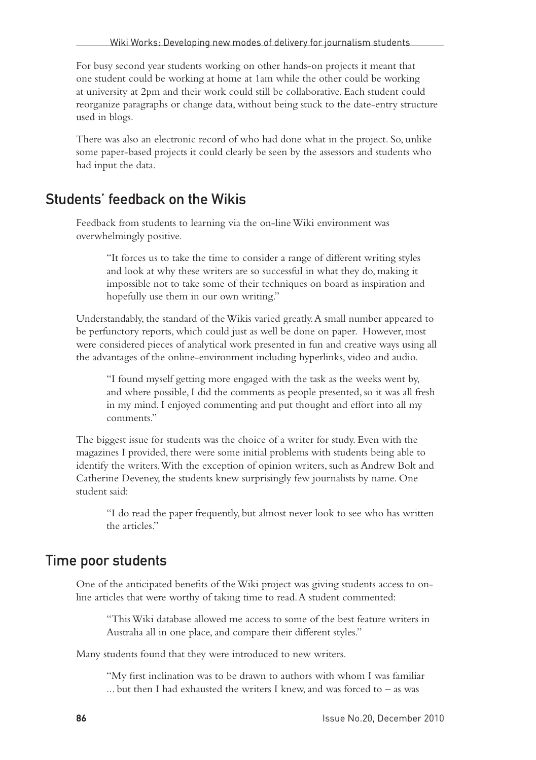For busy second year students working on other hands-on projects it meant that one student could be working at home at 1am while the other could be working at university at 2pm and their work could still be collaborative. Each student could reorganize paragraphs or change data, without being stuck to the date-entry structure used in blogs.

There was also an electronic record of who had done what in the project. So, unlike some paper-based projects it could clearly be seen by the assessors and students who had input the data.

#### Students' feedback on the Wikis

Feedback from students to learning via the on-line Wiki environment was overwhelmingly positive.

"It forces us to take the time to consider a range of different writing styles and look at why these writers are so successful in what they do, making it impossible not to take some of their techniques on board as inspiration and hopefully use them in our own writing."

Understandably, the standard of the Wikis varied greatly. A small number appeared to be perfunctory reports, which could just as well be done on paper. However, most were considered pieces of analytical work presented in fun and creative ways using all the advantages of the online-environment including hyperlinks, video and audio.

"I found myself getting more engaged with the task as the weeks went by, and where possible, I did the comments as people presented, so it was all fresh in my mind. I enjoyed commenting and put thought and effort into all my comments."

The biggest issue for students was the choice of a writer for study. Even with the magazines I provided, there were some initial problems with students being able to identify the writers. With the exception of opinion writers, such as Andrew Bolt and Catherine Deveney, the students knew surprisingly few journalists by name. One student said:

"I do read the paper frequently, but almost never look to see who has written the articles."

#### Time poor students

One of the anticipated benefits of the Wiki project was giving students access to online articles that were worthy of taking time to read. A student commented:

"This Wiki database allowed me access to some of the best feature writers in Australia all in one place, and compare their different styles."

Many students found that they were introduced to new writers.

"My first inclination was to be drawn to authors with whom I was familiar ... but then I had exhausted the writers I knew, and was forced to – as was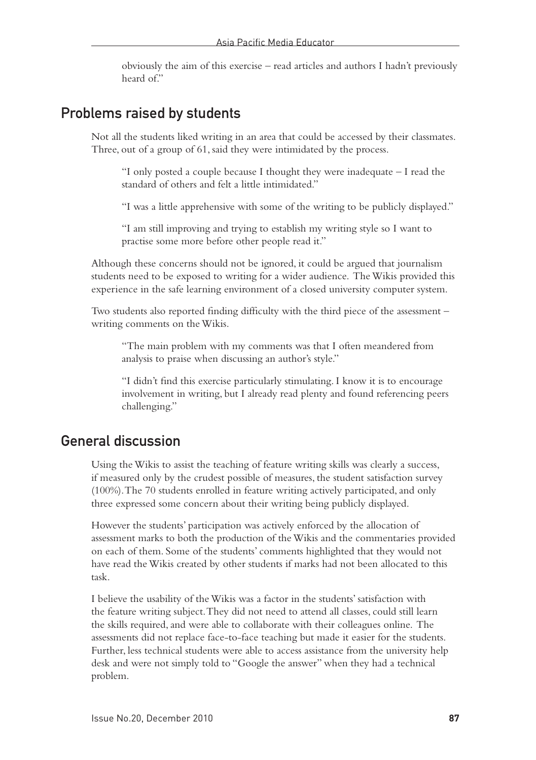obviously the aim of this exercise – read articles and authors I hadn't previously heard of."

#### Problems raised by students

Not all the students liked writing in an area that could be accessed by their classmates. Three, out of a group of 61, said they were intimidated by the process.

"I only posted a couple because I thought they were inadequate – I read the standard of others and felt a little intimidated."

"I was a little apprehensive with some of the writing to be publicly displayed."

"I am still improving and trying to establish my writing style so I want to practise some more before other people read it."

Although these concerns should not be ignored, it could be argued that journalism students need to be exposed to writing for a wider audience. The Wikis provided this experience in the safe learning environment of a closed university computer system.

Two students also reported finding difficulty with the third piece of the assessment – writing comments on the Wikis.

"The main problem with my comments was that I often meandered from analysis to praise when discussing an author's style."

"I didn't find this exercise particularly stimulating. I know it is to encourage involvement in writing, but I already read plenty and found referencing peers challenging."

#### General discussion

Using the Wikis to assist the teaching of feature writing skills was clearly a success, if measured only by the crudest possible of measures, the student satisfaction survey (100%). The 70 students enrolled in feature writing actively participated, and only three expressed some concern about their writing being publicly displayed.

However the students' participation was actively enforced by the allocation of assessment marks to both the production of the Wikis and the commentaries provided on each of them. Some of the students' comments highlighted that they would not have read the Wikis created by other students if marks had not been allocated to this task.

I believe the usability of the Wikis was a factor in the students' satisfaction with the feature writing subject. They did not need to attend all classes, could still learn the skills required, and were able to collaborate with their colleagues online. The assessments did not replace face-to-face teaching but made it easier for the students. Further, less technical students were able to access assistance from the university help desk and were not simply told to "Google the answer" when they had a technical problem.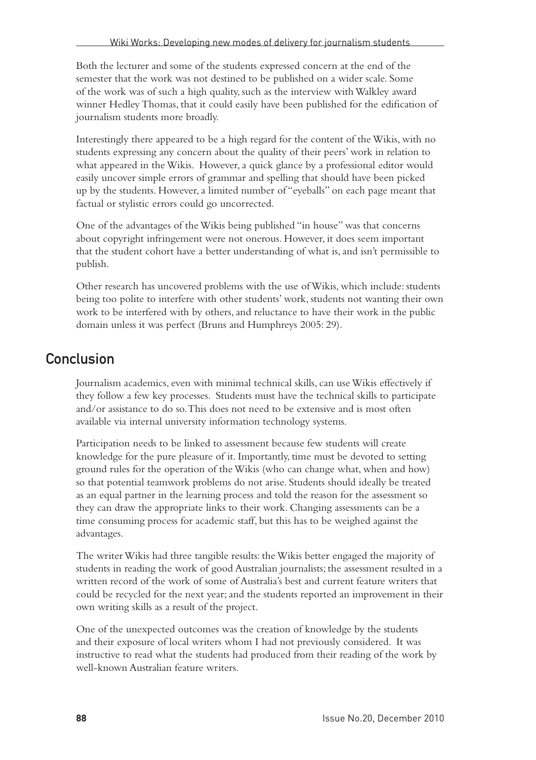Both the lecturer and some of the students expressed concern at the end of the semester that the work was not destined to be published on a wider scale. Some of the work was of such a high quality, such as the interview with Walkley award winner Hedley Thomas, that it could easily have been published for the edification of journalism students more broadly.

Interestingly there appeared to be a high regard for the content of the Wikis, with no students expressing any concern about the quality of their peers' work in relation to what appeared in the Wikis. However, a quick glance by a professional editor would easily uncover simple errors of grammar and spelling that should have been picked up by the students. However, a limited number of "eyeballs" on each page meant that factual or stylistic errors could go uncorrected.

One of the advantages of the Wikis being published "in house" was that concerns about copyright infringement were not onerous. However, it does seem important that the student cohort have a better understanding of what is, and isn't permissible to publish.

Other research has uncovered problems with the use of Wikis, which include: students being too polite to interfere with other students' work, students not wanting their own work to be interfered with by others, and reluctance to have their work in the public domain unless it was perfect (Bruns and Humphreys 2005: 29).

#### **Conclusion**

Journalism academics, even with minimal technical skills, can use Wikis effectively if they follow a few key processes. Students must have the technical skills to participate and/or assistance to do so. This does not need to be extensive and is most often available via internal university information technology systems.

Participation needs to be linked to assessment because few students will create knowledge for the pure pleasure of it. Importantly, time must be devoted to setting ground rules for the operation of the Wikis (who can change what, when and how) so that potential teamwork problems do not arise. Students should ideally be treated as an equal partner in the learning process and told the reason for the assessment so they can draw the appropriate links to their work. Changing assessments can be a time consuming process for academic staff, but this has to be weighed against the advantages.

The writer Wikis had three tangible results: the Wikis better engaged the majority of students in reading the work of good Australian journalists; the assessment resulted in a written record of the work of some of Australia's best and current feature writers that could be recycled for the next year; and the students reported an improvement in their own writing skills as a result of the project.

One of the unexpected outcomes was the creation of knowledge by the students and their exposure of local writers whom I had not previously considered. It was instructive to read what the students had produced from their reading of the work by well-known Australian feature writers.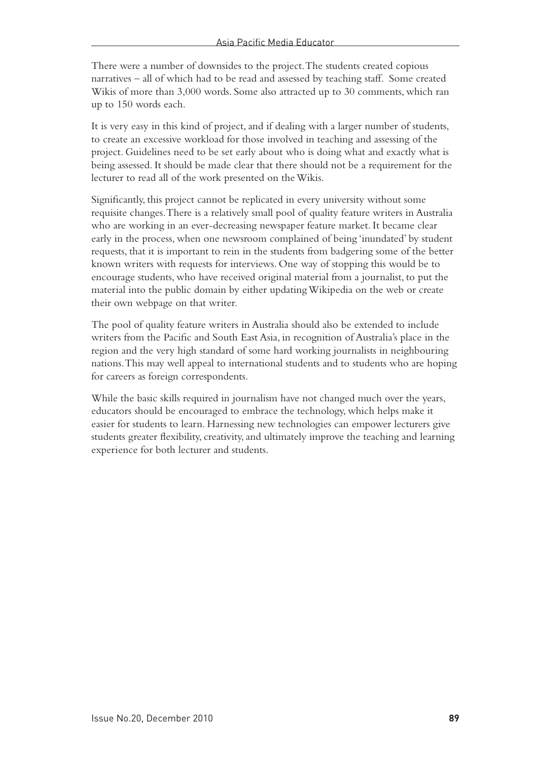There were a number of downsides to the project. The students created copious narratives – all of which had to be read and assessed by teaching staff. Some created Wikis of more than 3,000 words. Some also attracted up to 30 comments, which ran up to 150 words each.

It is very easy in this kind of project, and if dealing with a larger number of students, to create an excessive workload for those involved in teaching and assessing of the project. Guidelines need to be set early about who is doing what and exactly what is being assessed. It should be made clear that there should not be a requirement for the lecturer to read all of the work presented on the Wikis.

Significantly, this project cannot be replicated in every university without some requisite changes. There is a relatively small pool of quality feature writers in Australia who are working in an ever-decreasing newspaper feature market. It became clear early in the process, when one newsroom complained of being 'inundated' by student requests, that it is important to rein in the students from badgering some of the better known writers with requests for interviews. One way of stopping this would be to encourage students, who have received original material from a journalist, to put the material into the public domain by either updating Wikipedia on the web or create their own webpage on that writer.

The pool of quality feature writers in Australia should also be extended to include writers from the Pacific and South East Asia, in recognition of Australia's place in the region and the very high standard of some hard working journalists in neighbouring nations. This may well appeal to international students and to students who are hoping for careers as foreign correspondents.

While the basic skills required in journalism have not changed much over the years, educators should be encouraged to embrace the technology, which helps make it easier for students to learn. Harnessing new technologies can empower lecturers give students greater flexibility, creativity, and ultimately improve the teaching and learning experience for both lecturer and students.